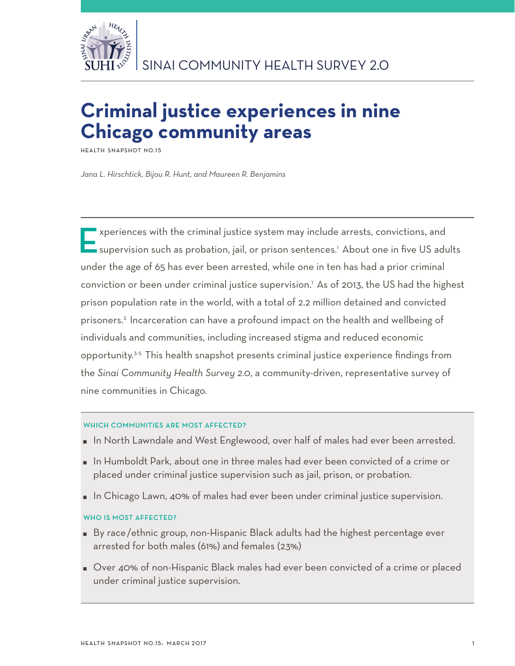

# **Criminal justice experiences in nine Chicago community areas**

**HEALTH SNAPSHOT NO.15** 

*Jana L. Hirschtick, Bijou R. Hunt, and Maureen R. Benjamins*

Experiences with the criminal justice system may include arrests, convictions, and  $\blacksquare$  supervision such as probation, jail, or prison sentences.1 About one in five US adults under the age of 65 has ever been arrested, while one in ten has had a prior criminal conviction or been under criminal justice supervision.1 As of 2013, the US had the highest prison population rate in the world, with a total of 2.2 million detained and convicted prisoners.2 Incarceration can have a profound impact on the health and wellbeing of individuals and communities, including increased stigma and reduced economic opportunity.3-5 This health snapshot presents criminal justice experience findings from the *Sinai Community Health Survey 2.0*, a community-driven, representative survey of nine communities in Chicago.

## WHICH COMMUNITIES ARE MOST AFFECTED?

- In North Lawndale and West Englewood, over half of males had ever been arrested.
- $\blacksquare$  In Humboldt Park, about one in three males had ever been convicted of a crime or placed under criminal justice supervision such as jail, prison, or probation.
- In Chicago Lawn, 40% of males had ever been under criminal justice supervision.

# WHO IS MOST AFFECTED?

- By race/ethnic group, non-Hispanic Black adults had the highest percentage ever arrested for both males (61%) and females (23%)
- Over 40% of non-Hispanic Black males had ever been convicted of a crime or placed under criminal justice supervision.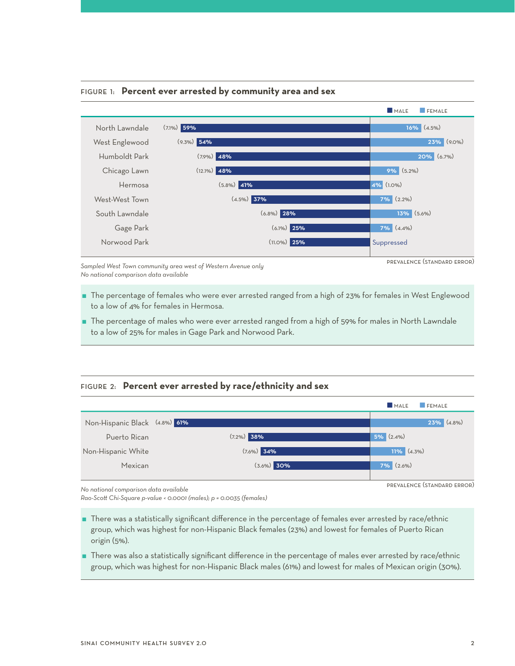

## Figure 1: **Percent ever arrested by community area and sex**

prevalence (standard error)

*Sampled West Town community area west of Western Avenue only No national comparison data available*

- The percentage of females who were ever arrested ranged from a high of 23% for females in West Englewood to a low of 4% for females in Hermosa.
- The percentage of males who were ever arrested ranged from a high of 59% for males in North Lawndale to a low of 25% for males in Gage Park and Norwood Park.

# Figure 2: **Percent ever arrested by race/ethnicity and sex**



*No national comparison data available*

*Rao-Scott Chi-Square p-value < 0.0001 (males); p = 0.0035 (females)*

- There was a statistically significant difference in the percentage of females ever arrested by race/ethnic group, which was highest for non-Hispanic Black females (23%) and lowest for females of Puerto Rican origin (5%).
- There was also a statistically significant difference in the percentage of males ever arrested by race/ethnic group, which was highest for non-Hispanic Black males (61%) and lowest for males of Mexican origin (30%).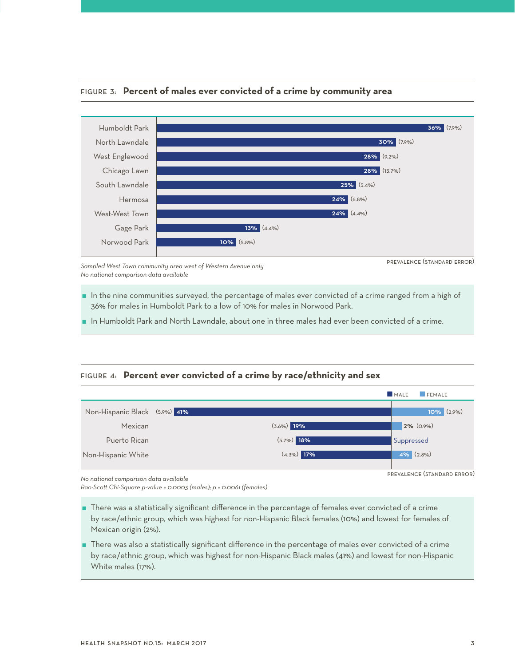

# Figure 3: **Percent of males ever convicted of a crime by community area**

*Sampled West Town community area west of Western Avenue only No national comparison data available*

prevalence (standard error)

prevalence (standard error)

- In the nine communities surveyed, the percentage of males ever convicted of a crime ranged from a high of 36% for males in Humboldt Park to a low of 10% for males in Norwood Park.
- In Humboldt Park and North Lawndale, about one in three males had ever been convicted of a crime.

# Figure 4: **Percent ever convicted of a crime by race/ethnicity and sex**

|                               |               | MALE<br><b>FEMALE</b> |
|-------------------------------|---------------|-----------------------|
| Non-Hispanic Black (5.9%) 41% |               | $10\%$ (2.9%)         |
| Mexican                       | $(3.6\%)$ 19% | $2\%$ (0.9%)          |
| Puerto Rican                  | $(5.7\%)$ 18% | Suppressed            |
| Non-Hispanic White            | $(4.3\%)$ 17% | $4\%$ $(2.8\%)$       |
|                               |               |                       |

*No national comparison data available*

*Rao-Scott Chi-Square p-value = 0.0003 (males); p = 0.0061 (females)*

 There was a statistically significant difference in the percentage of females ever convicted of a crime by race/ethnic group, which was highest for non-Hispanic Black females (10%) and lowest for females of Mexican origin (2%).

 There was also a statistically significant difference in the percentage of males ever convicted of a crime by race/ethnic group, which was highest for non-Hispanic Black males (41%) and lowest for non-Hispanic White males (17%).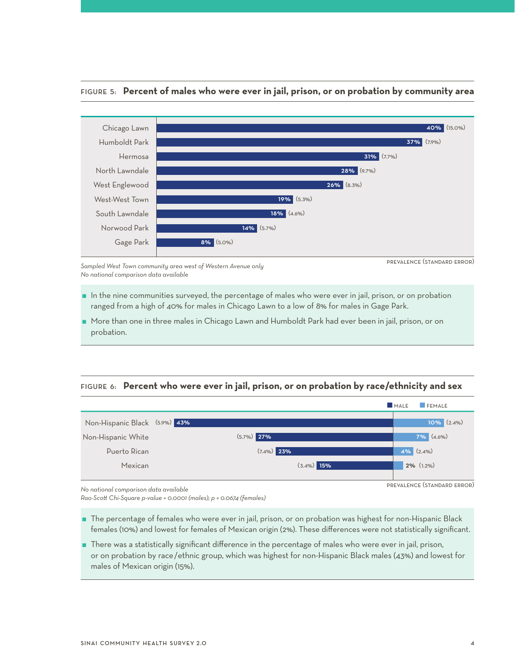

## Figure 5: **Percent of males who were ever in jail, prison, or on probation by community area**

*Sampled West Town community area west of Western Avenue only No national comparison data available*

prevalence (standard error)

 In the nine communities surveyed, the percentage of males who were ever in jail, prison, or on probation ranged from a high of 40% for males in Chicago Lawn to a low of 8% for males in Gage Park.

 More than one in three males in Chicago Lawn and Humboldt Park had ever been in jail, prison, or on probation.

# Figure 6: **Percent who were ever in jail, prison, or on probation by race/ethnicity and sex**



*No national comparison data available*

*Rao-Scott Chi-Square p-value = 0.0001 (males); p = 0.0674 (females)*

- The percentage of females who were ever in jail, prison, or on probation was highest for non-Hispanic Black females (10%) and lowest for females of Mexican origin (2%). These differences were not statistically significant.
- There was a statistically significant difference in the percentage of males who were ever in jail, prison, or on probation by race/ethnic group, which was highest for non-Hispanic Black males (43%) and lowest for males of Mexican origin (15%).